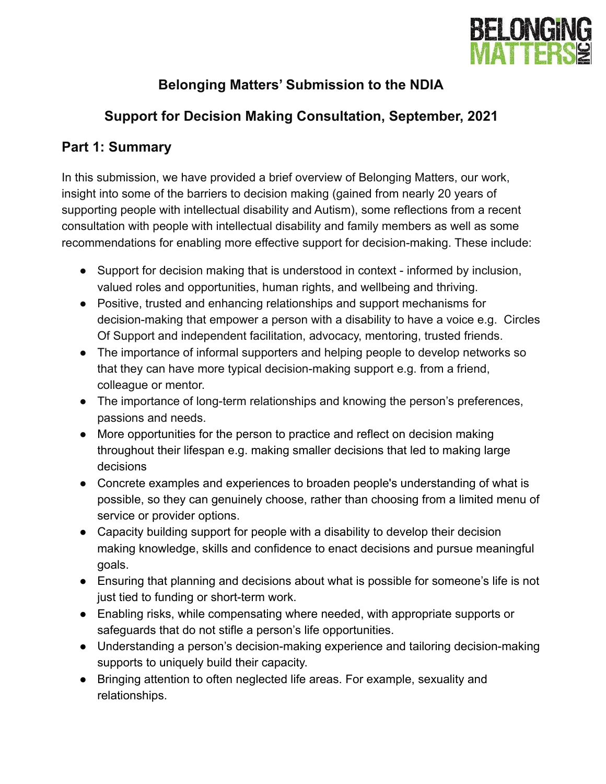

# **Belonging Matters' Submission to the NDIA**

# **Support for Decision Making Consultation, September, 2021**

## **Part 1: Summary**

In this submission, we have provided a brief overview of Belonging Matters, our work, insight into some of the barriers to decision making (gained from nearly 20 years of supporting people with intellectual disability and Autism), some reflections from a recent consultation with people with intellectual disability and family members as well as some recommendations for enabling more effective support for decision-making. These include:

- Support for decision making that is understood in context informed by inclusion, valued roles and opportunities, human rights, and wellbeing and thriving.
- Positive, trusted and enhancing relationships and support mechanisms for decision-making that empower a person with a disability to have a voice e.g. Circles Of Support and independent facilitation, advocacy, mentoring, trusted friends.
- The importance of informal supporters and helping people to develop networks so that they can have more typical decision-making support e.g. from a friend, colleague or mentor.
- The importance of long-term relationships and knowing the person's preferences, passions and needs.
- More opportunities for the person to practice and reflect on decision making throughout their lifespan e.g. making smaller decisions that led to making large decisions
- Concrete examples and experiences to broaden people's understanding of what is possible, so they can genuinely choose, rather than choosing from a limited menu of service or provider options.
- Capacity building support for people with a disability to develop their decision making knowledge, skills and confidence to enact decisions and pursue meaningful goals.
- Ensuring that planning and decisions about what is possible for someone's life is not just tied to funding or short-term work.
- Enabling risks, while compensating where needed, with appropriate supports or safeguards that do not stifle a person's life opportunities.
- Understanding a person's decision-making experience and tailoring decision-making supports to uniquely build their capacity.
- Bringing attention to often neglected life areas. For example, sexuality and relationships.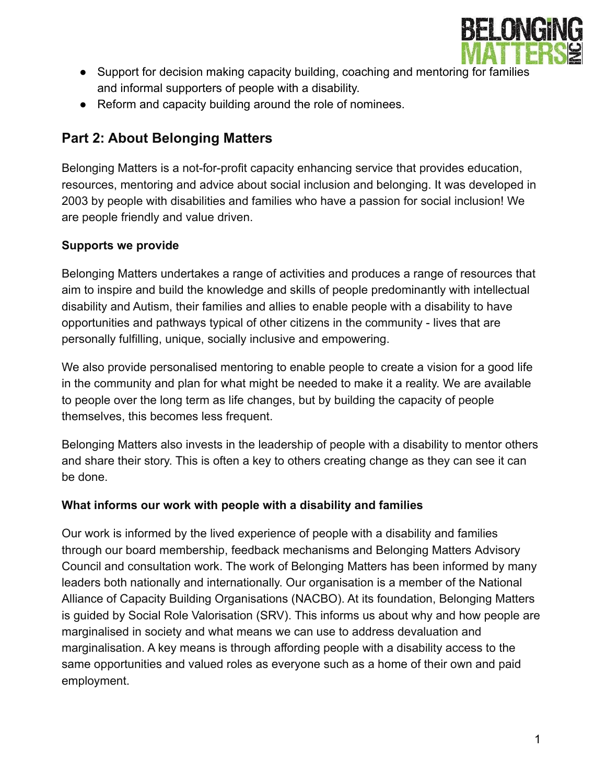

- Support for decision making capacity building, coaching and mentoring for families and informal supporters of people with a disability.
- Reform and capacity building around the role of nominees.

## **Part 2: About Belonging Matters**

Belonging Matters is a not-for-profit capacity enhancing service that provides education, resources, mentoring and advice about social inclusion and belonging. It was developed in 2003 by people with disabilities and families who have a passion for social inclusion! We are people friendly and value driven.

#### **Supports we provide**

Belonging Matters undertakes a range of activities and produces a range of resources that aim to inspire and build the knowledge and skills of people predominantly with intellectual disability and Autism, their families and allies to enable people with a disability to have opportunities and pathways typical of other citizens in the community - lives that are personally fulfilling, unique, socially inclusive and empowering.

We also provide personalised mentoring to enable people to create a vision for a good life in the community and plan for what might be needed to make it a reality. We are available to people over the long term as life changes, but by building the capacity of people themselves, this becomes less frequent.

Belonging Matters also invests in the leadership of people with a disability to mentor others and share their story. This is often a key to others creating change as they can see it can be done.

#### **What informs our work with people with a disability and families**

Our work is informed by the lived experience of people with a disability and families through our board membership, feedback mechanisms and Belonging Matters Advisory Council and consultation work. The work of Belonging Matters has been informed by many leaders both nationally and internationally. Our organisation is a member of the National Alliance of Capacity Building Organisations (NACBO). At its foundation, Belonging Matters is guided by Social Role Valorisation (SRV). This informs us about why and how people are marginalised in society and what means we can use to address devaluation and marginalisation. A key means is through affording people with a disability access to the same opportunities and valued roles as everyone such as a home of their own and paid employment.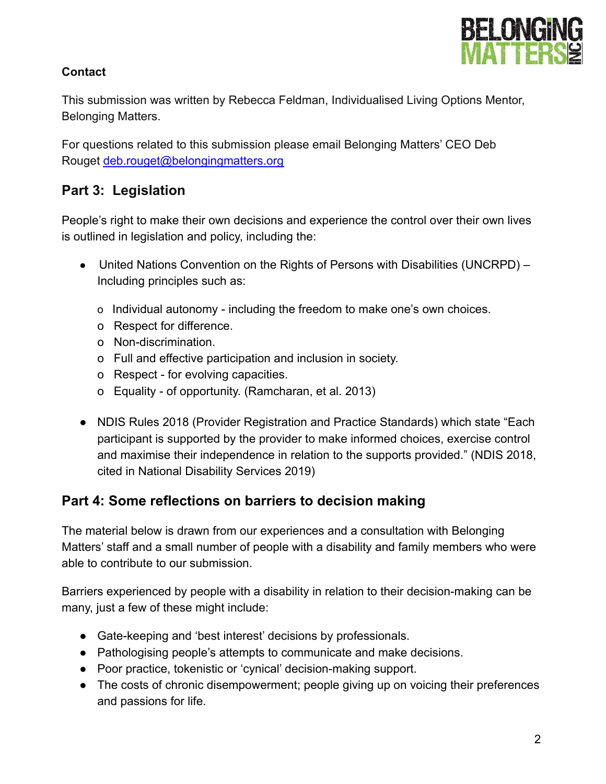

## **Contact**

This submission was written by Rebecca Feldman, Individualised Living Options Mentor, Belonging Matters.

For questions related to this submission please email Belonging Matters' CEO Deb Rouget [deb.rouget@belongingmatters.org](mailto:deb.rouget@belongingmatters.org)

## **Part 3: Legislation**

People's right to make their own decisions and experience the control over their own lives is outlined in legislation and policy, including the:

- United Nations Convention on the Rights of Persons with Disabilities (UNCRPD) Including principles such as:
	- o Individual autonomy including the freedom to make one's own choices.
	- o Respect for difference.
	- o Non-discrimination.
	- o Full and effective participation and inclusion in society.
	- o Respect for evolving capacities.
	- o Equality of opportunity. (Ramcharan, et al. 2013)
- NDIS Rules 2018 (Provider Registration and Practice Standards) which state "Each participant is supported by the provider to make informed choices, exercise control and maximise their independence in relation to the supports provided." (NDIS 2018, cited in National Disability Services 2019)

## **Part 4: Some reflections on barriers to decision making**

The material below is drawn from our experiences and a consultation with Belonging Matters' staff and a small number of people with a disability and family members who were able to contribute to our submission.

Barriers experienced by people with a disability in relation to their decision-making can be many, just a few of these might include:

- Gate-keeping and 'best interest' decisions by professionals.
- Pathologising people's attempts to communicate and make decisions.
- Poor practice, tokenistic or 'cynical' decision-making support.
- The costs of chronic disempowerment; people giving up on voicing their preferences and passions for life.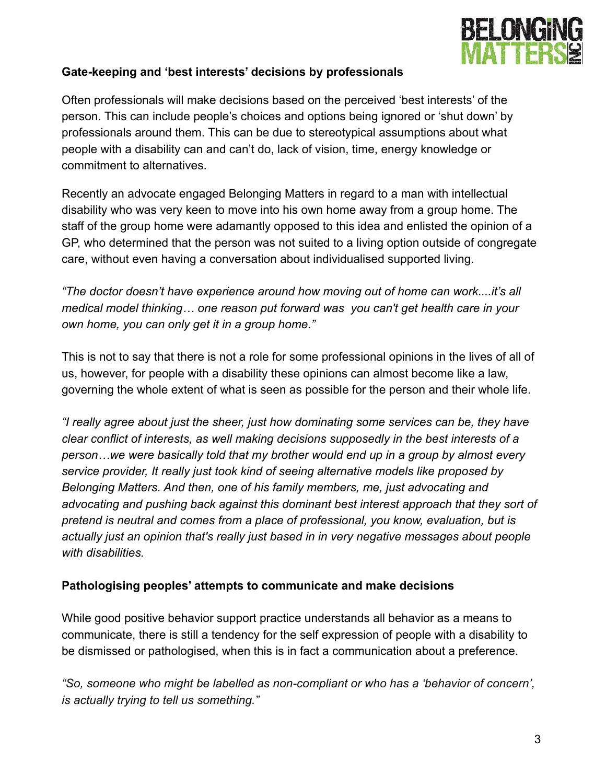

#### **Gate-keeping and 'best interests' decisions by professionals**

Often professionals will make decisions based on the perceived 'best interests' of the person. This can include people's choices and options being ignored or 'shut down' by professionals around them. This can be due to stereotypical assumptions about what people with a disability can and can't do, lack of vision, time, energy knowledge or commitment to alternatives.

Recently an advocate engaged Belonging Matters in regard to a man with intellectual disability who was very keen to move into his own home away from a group home. The staff of the group home were adamantly opposed to this idea and enlisted the opinion of a GP, who determined that the person was not suited to a living option outside of congregate care, without even having a conversation about individualised supported living.

*"The doctor doesn't have experience around how moving out of home can work....it's all medical model thinking… one reason put forward was you can't get health care in your own home, you can only get it in a group home."*

This is not to say that there is not a role for some professional opinions in the lives of all of us, however, for people with a disability these opinions can almost become like a law, governing the whole extent of what is seen as possible for the person and their whole life.

*"I really agree about just the sheer, just how dominating some services can be, they have clear conflict of interests, as well making decisions supposedly in the best interests of a person…we were basically told that my brother would end up in a group by almost every service provider, It really just took kind of seeing alternative models like proposed by Belonging Matters. And then, one of his family members, me, just advocating and advocating and pushing back against this dominant best interest approach that they sort of pretend is neutral and comes from a place of professional, you know, evaluation, but is actually just an opinion that's really just based in in very negative messages about people with disabilities.*

#### **Pathologising peoples' attempts to communicate and make decisions**

While good positive behavior support practice understands all behavior as a means to communicate, there is still a tendency for the self expression of people with a disability to be dismissed or pathologised, when this is in fact a communication about a preference.

*"So, someone who might be labelled as non-compliant or who has a 'behavior of concern', is actually trying to tell us something."*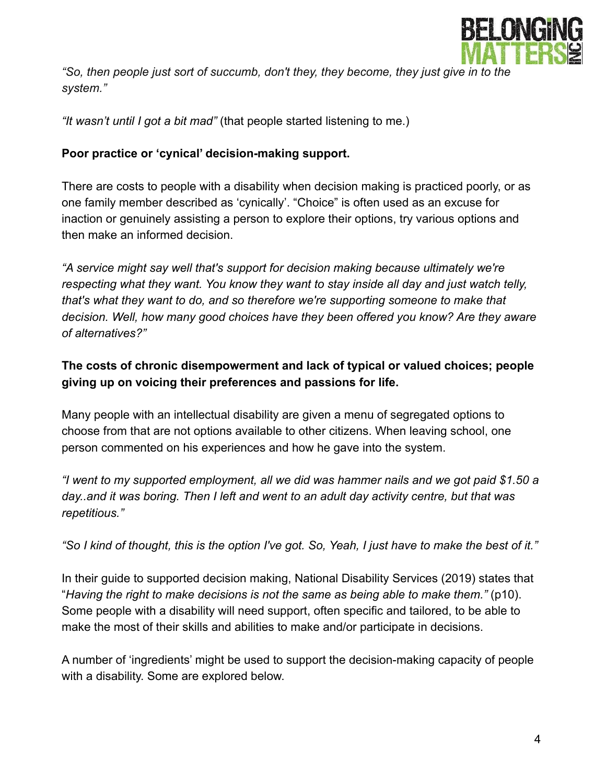

*"So, then people just sort of succumb, don't they, they become, they just give in to the system."*

*"It wasn't until I got a bit mad"* (that people started listening to me.)

#### **Poor practice or 'cynical' decision-making support.**

There are costs to people with a disability when decision making is practiced poorly, or as one family member described as 'cynically'. "Choice" is often used as an excuse for inaction or genuinely assisting a person to explore their options, try various options and then make an informed decision.

*"A service might say well that's support for decision making because ultimately we're respecting what they want. You know they want to stay inside all day and just watch telly, that's what they want to do, and so therefore we're supporting someone to make that decision. Well, how many good choices have they been offered you know? Are they aware of alternatives?"*

### **The costs of chronic disempowerment and lack of typical or valued choices; people giving up on voicing their preferences and passions for life.**

Many people with an intellectual disability are given a menu of segregated options to choose from that are not options available to other citizens. When leaving school, one person commented on his experiences and how he gave into the system.

*"I went to my supported employment, all we did was hammer nails and we got paid \$1.50 a day..and it was boring. Then I left and went to an adult day activity centre, but that was repetitious."*

*"So I kind of thought, this is the option I've got. So, Yeah, I just have to make the best of it."*

In their guide to supported decision making, National Disability Services (2019) states that "*Having the right to make decisions is not the same as being able to make them."* (p10). Some people with a disability will need support, often specific and tailored, to be able to make the most of their skills and abilities to make and/or participate in decisions.

A number of 'ingredients' might be used to support the decision-making capacity of people with a disability. Some are explored below.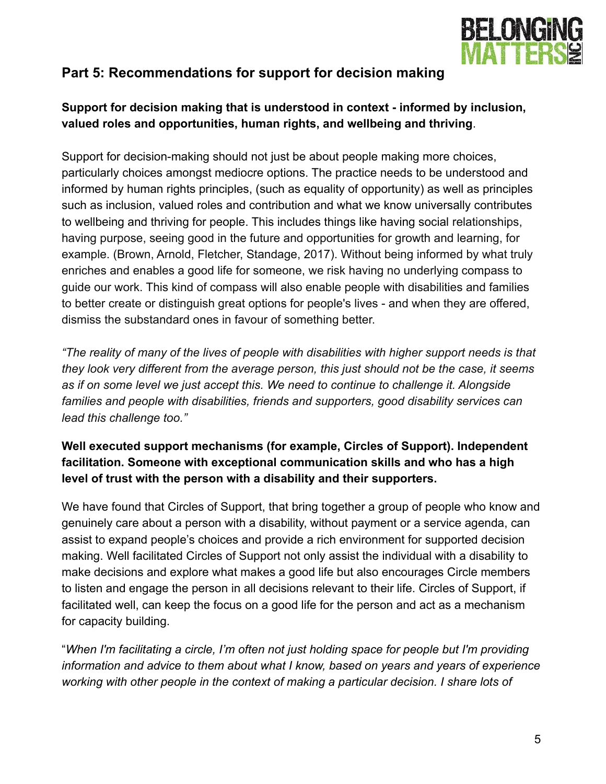

## **Part 5: Recommendations for support for decision making**

## **Support for decision making that is understood in context - informed by inclusion, valued roles and opportunities, human rights, and wellbeing and thriving**.

Support for decision-making should not just be about people making more choices, particularly choices amongst mediocre options. The practice needs to be understood and informed by human rights principles, (such as equality of opportunity) as well as principles such as inclusion, valued roles and contribution and what we know universally contributes to wellbeing and thriving for people. This includes things like having social relationships, having purpose, seeing good in the future and opportunities for growth and learning, for example. (Brown, Arnold, Fletcher, Standage, 2017). Without being informed by what truly enriches and enables a good life for someone, we risk having no underlying compass to guide our work. This kind of compass will also enable people with disabilities and families to better create or distinguish great options for people's lives - and when they are offered, dismiss the substandard ones in favour of something better.

*"The reality of many of the lives of people with disabilities with higher support needs is that they look very different from the average person, this just should not be the case, it seems as if on some level we just accept this. We need to continue to challenge it. Alongside families and people with disabilities, friends and supporters, good disability services can lead this challenge too."*

## **Well executed support mechanisms (for example, Circles of Support). Independent facilitation. Someone with exceptional communication skills and who has a high level of trust with the person with a disability and their supporters.**

We have found that Circles of Support, that bring together a group of people who know and genuinely care about a person with a disability, without payment or a service agenda, can assist to expand people's choices and provide a rich environment for supported decision making. Well facilitated Circles of Support not only assist the individual with a disability to make decisions and explore what makes a good life but also encourages Circle members to listen and engage the person in all decisions relevant to their life. Circles of Support, if facilitated well, can keep the focus on a good life for the person and act as a mechanism for capacity building.

"*When I'm facilitating a circle, I'm often not just holding space for people but I'm providing information and advice to them about what I know, based on years and years of experience working with other people in the context of making a particular decision. I share lots of*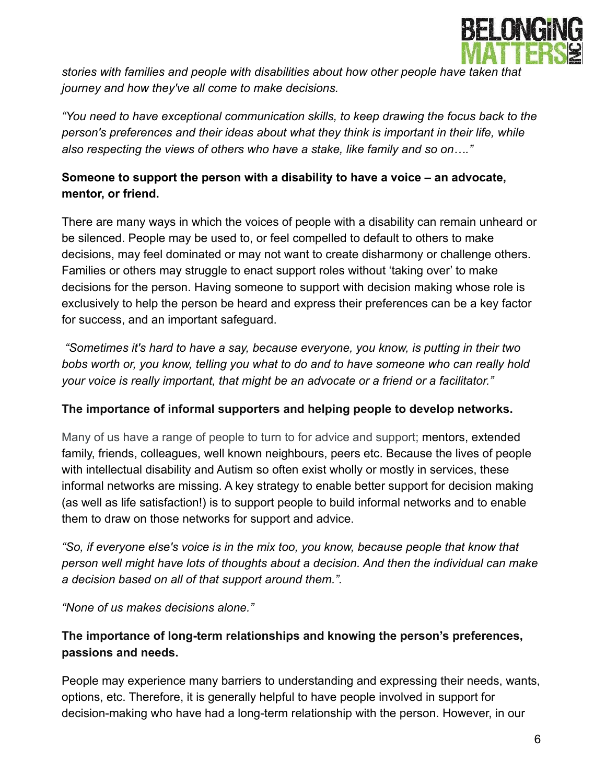

*stories with families and people with disabilities about how other people have taken that journey and how they've all come to make decisions.*

*"You need to have exceptional communication skills, to keep drawing the focus back to the person's preferences and their ideas about what they think is important in their life, while also respecting the views of others who have a stake, like family and so on…."*

## **Someone to support the person with a disability to have a voice – an advocate, mentor, or friend.**

There are many ways in which the voices of people with a disability can remain unheard or be silenced. People may be used to, or feel compelled to default to others to make decisions, may feel dominated or may not want to create disharmony or challenge others. Families or others may struggle to enact support roles without 'taking over' to make decisions for the person. Having someone to support with decision making whose role is exclusively to help the person be heard and express their preferences can be a key factor for success, and an important safeguard.

*"Sometimes it's hard to have a say, because everyone, you know, is putting in their two bobs worth or, you know, telling you what to do and to have someone who can really hold your voice is really important, that might be an advocate or a friend or a facilitator."*

#### **The importance of informal supporters and helping people to develop networks.**

Many of us have a range of people to turn to for advice and support; mentors, extended family, friends, colleagues, well known neighbours, peers etc. Because the lives of people with intellectual disability and Autism so often exist wholly or mostly in services, these informal networks are missing. A key strategy to enable better support for decision making (as well as life satisfaction!) is to support people to build informal networks and to enable them to draw on those networks for support and advice.

*"So, if everyone else's voice is in the mix too, you know, because people that know that person well might have lots of thoughts about a decision. And then the individual can make a decision based on all of that support around them.".*

*"None of us makes decisions alone."*

## **The importance of long-term relationships and knowing the person's preferences, passions and needs.**

People may experience many barriers to understanding and expressing their needs, wants, options, etc. Therefore, it is generally helpful to have people involved in support for decision-making who have had a long-term relationship with the person. However, in our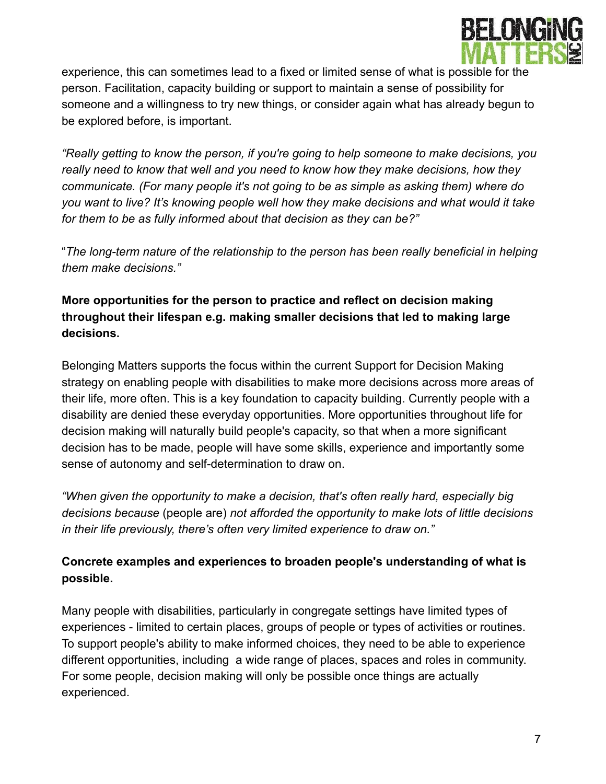

experience, this can sometimes lead to a fixed or limited sense of what is possible for the person. Facilitation, capacity building or support to maintain a sense of possibility for someone and a willingness to try new things, or consider again what has already begun to be explored before, is important.

*"Really getting to know the person, if you're going to help someone to make decisions, you really need to know that well and you need to know how they make decisions, how they communicate. (For many people it's not going to be as simple as asking them) where do you want to live? It's knowing people well how they make decisions and what would it take for them to be as fully informed about that decision as they can be?"*

"*The long-term nature of the relationship to the person has been really beneficial in helping them make decisions."*

### **More opportunities for the person to practice and reflect on decision making throughout their lifespan e.g. making smaller decisions that led to making large decisions.**

Belonging Matters supports the focus within the current Support for Decision Making strategy on enabling people with disabilities to make more decisions across more areas of their life, more often. This is a key foundation to capacity building. Currently people with a disability are denied these everyday opportunities. More opportunities throughout life for decision making will naturally build people's capacity, so that when a more significant decision has to be made, people will have some skills, experience and importantly some sense of autonomy and self-determination to draw on.

*"When given the opportunity to make a decision, that's often really hard, especially big decisions because* (people are) *not afforded the opportunity to make lots of little decisions in their life previously, there's often very limited experience to draw on."*

## **Concrete examples and experiences to broaden people's understanding of what is possible.**

Many people with disabilities, particularly in congregate settings have limited types of experiences - limited to certain places, groups of people or types of activities or routines. To support people's ability to make informed choices, they need to be able to experience different opportunities, including a wide range of places, spaces and roles in community. For some people, decision making will only be possible once things are actually experienced.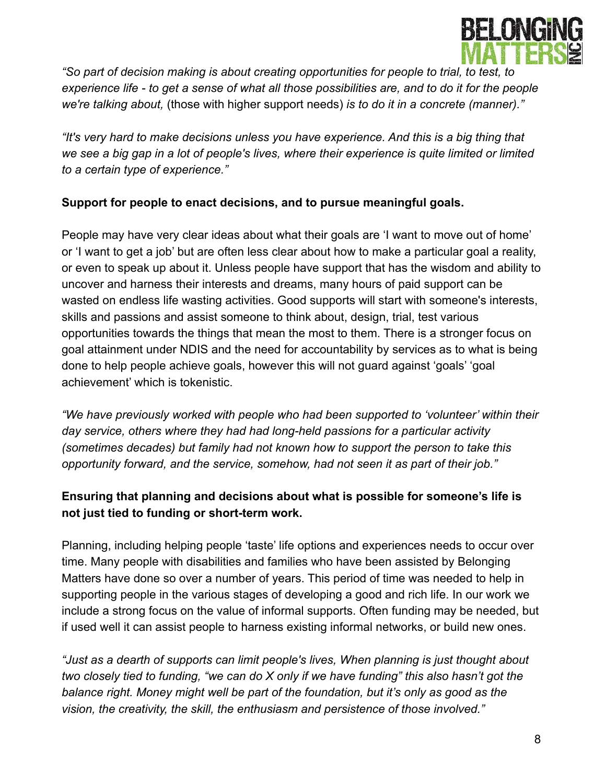

*"So part of decision making is about creating opportunities for people to trial, to test, to experience life - to get a sense of what all those possibilities are, and to do it for the people we're talking about,* (those with higher support needs) *is to do it in a concrete (manner)."*

*"It's very hard to make decisions unless you have experience. And this is a big thing that we see a big gap in a lot of people's lives, where their experience is quite limited or limited to a certain type of experience."*

#### **Support for people to enact decisions, and to pursue meaningful goals.**

People may have very clear ideas about what their goals are 'I want to move out of home' or 'I want to get a job' but are often less clear about how to make a particular goal a reality, or even to speak up about it. Unless people have support that has the wisdom and ability to uncover and harness their interests and dreams, many hours of paid support can be wasted on endless life wasting activities. Good supports will start with someone's interests, skills and passions and assist someone to think about, design, trial, test various opportunities towards the things that mean the most to them. There is a stronger focus on goal attainment under NDIS and the need for accountability by services as to what is being done to help people achieve goals, however this will not guard against 'goals' 'goal achievement' which is tokenistic.

*"We have previously worked with people who had been supported to 'volunteer' within their day service, others where they had had long-held passions for a particular activity (sometimes decades) but family had not known how to support the person to take this opportunity forward, and the service, somehow, had not seen it as part of their job."*

## **Ensuring that planning and decisions about what is possible for someone's life is not just tied to funding or short-term work.**

Planning, including helping people 'taste' life options and experiences needs to occur over time. Many people with disabilities and families who have been assisted by Belonging Matters have done so over a number of years. This period of time was needed to help in supporting people in the various stages of developing a good and rich life. In our work we include a strong focus on the value of informal supports. Often funding may be needed, but if used well it can assist people to harness existing informal networks, or build new ones.

*"Just as a dearth of supports can limit people's lives, When planning is just thought about two closely tied to funding, "we can do X only if we have funding" this also hasn't got the balance right. Money might well be part of the foundation, but it's only as good as the vision, the creativity, the skill, the enthusiasm and persistence of those involved."*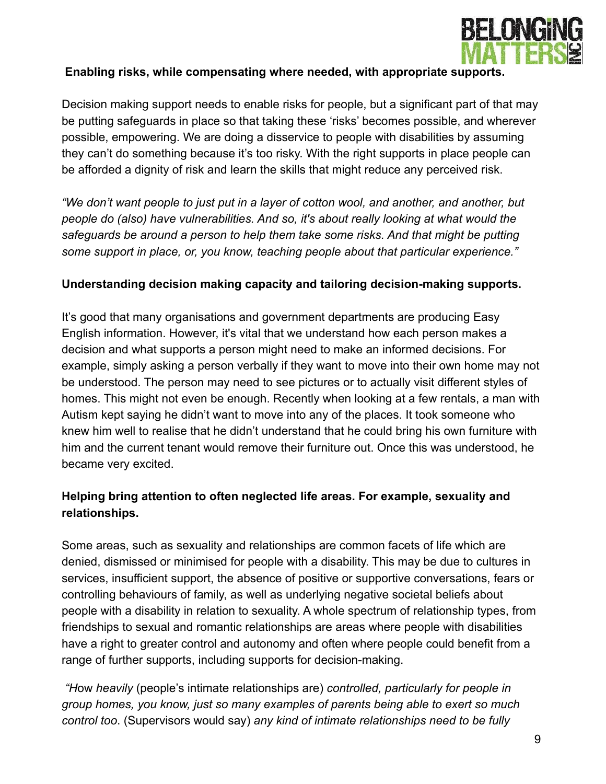

#### **Enabling risks, while compensating where needed, with appropriate supports.**

Decision making support needs to enable risks for people, but a significant part of that may be putting safeguards in place so that taking these 'risks' becomes possible, and wherever possible, empowering. We are doing a disservice to people with disabilities by assuming they can't do something because it's too risky. With the right supports in place people can be afforded a dignity of risk and learn the skills that might reduce any perceived risk.

*"We don't want people to just put in a layer of cotton wool, and another, and another, but people do (also) have vulnerabilities. And so, it's about really looking at what would the safeguards be around a person to help them take some risks. And that might be putting some support in place, or, you know, teaching people about that particular experience."*

#### **Understanding decision making capacity and tailoring decision-making supports.**

It's good that many organisations and government departments are producing Easy English information. However, it's vital that we understand how each person makes a decision and what supports a person might need to make an informed decisions. For example, simply asking a person verbally if they want to move into their own home may not be understood. The person may need to see pictures or to actually visit different styles of homes. This might not even be enough. Recently when looking at a few rentals, a man with Autism kept saying he didn't want to move into any of the places. It took someone who knew him well to realise that he didn't understand that he could bring his own furniture with him and the current tenant would remove their furniture out. Once this was understood, he became very excited.

### **Helping bring attention to often neglected life areas. For example, sexuality and relationships.**

Some areas, such as sexuality and relationships are common facets of life which are denied, dismissed or minimised for people with a disability. This may be due to cultures in services, insufficient support, the absence of positive or supportive conversations, fears or controlling behaviours of family, as well as underlying negative societal beliefs about people with a disability in relation to sexuality. A whole spectrum of relationship types, from friendships to sexual and romantic relationships are areas where people with disabilities have a right to greater control and autonomy and often where people could benefit from a range of further supports, including supports for decision-making.

*"H*ow *heavily* (people's intimate relationships are) *controlled, particularly for people in group homes, you know, just so many examples of parents being able to exert so much control too*. (Supervisors would say) *any kind of intimate relationships need to be fully*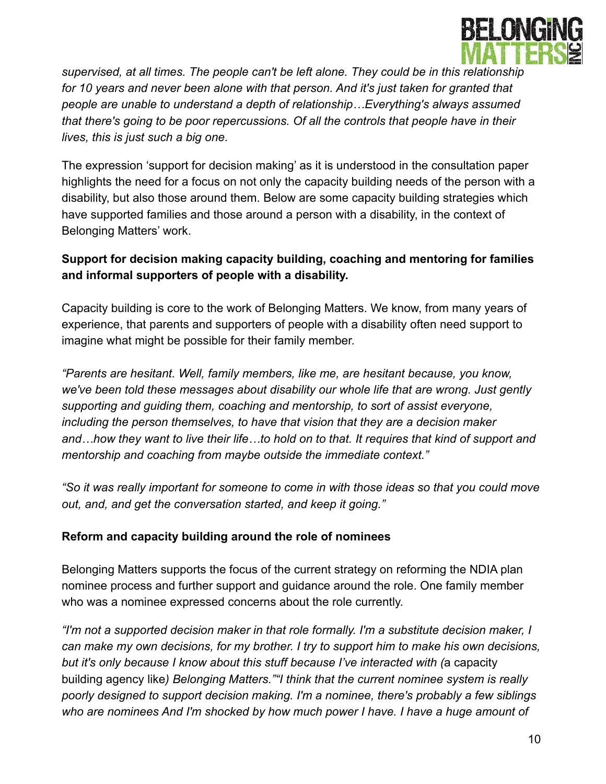

*supervised, at all times. The people can't be left alone. They could be in this relationship for 10 years and never been alone with that person. And it's just taken for granted that people are unable to understand a depth of relationship…Everything's always assumed that there's going to be poor repercussions. Of all the controls that people have in their lives, this is just such a big one.*

The expression 'support for decision making' as it is understood in the consultation paper highlights the need for a focus on not only the capacity building needs of the person with a disability, but also those around them. Below are some capacity building strategies which have supported families and those around a person with a disability, in the context of Belonging Matters' work.

#### **Support for decision making capacity building, coaching and mentoring for families and informal supporters of people with a disability.**

Capacity building is core to the work of Belonging Matters. We know, from many years of experience, that parents and supporters of people with a disability often need support to imagine what might be possible for their family member.

*"Parents are hesitant. Well, family members, like me, are hesitant because, you know, we've been told these messages about disability our whole life that are wrong. Just gently supporting and guiding them, coaching and mentorship, to sort of assist everyone, including the person themselves, to have that vision that they are a decision maker and…how they want to live their life…to hold on to that. It requires that kind of support and mentorship and coaching from maybe outside the immediate context."*

*"So it was really important for someone to come in with those ideas so that you could move out, and, and get the conversation started, and keep it going."*

#### **Reform and capacity building around the role of nominees**

Belonging Matters supports the focus of the current strategy on reforming the NDIA plan nominee process and further support and guidance around the role. One family member who was a nominee expressed concerns about the role currently.

*"I'm not a supported decision maker in that role formally. I'm a substitute decision maker, I can make my own decisions, for my brother. I try to support him to make his own decisions, but it's only because I know about this stuff because I've interacted with (*a capacity building agency like*) Belonging Matters.""I think that the current nominee system is really poorly designed to support decision making. I'm a nominee, there's probably a few siblings who are nominees And I'm shocked by how much power I have. I have a huge amount of*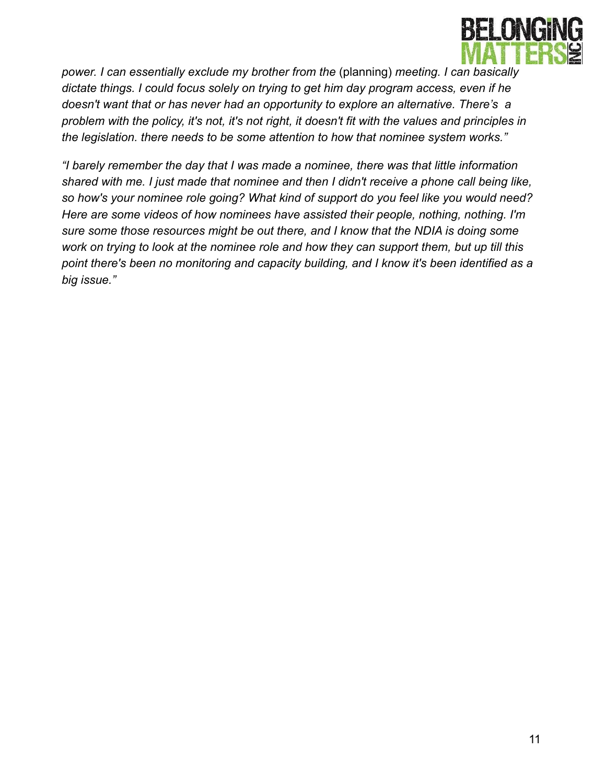

*power. I can essentially exclude my brother from the* (planning) *meeting. I can basically dictate things. I could focus solely on trying to get him day program access, even if he doesn't want that or has never had an opportunity to explore an alternative. There's a problem with the policy, it's not, it's not right, it doesn't fit with the values and principles in the legislation. there needs to be some attention to how that nominee system works."*

*"I barely remember the day that I was made a nominee, there was that little information shared with me. I just made that nominee and then I didn't receive a phone call being like, so how's your nominee role going? What kind of support do you feel like you would need? Here are some videos of how nominees have assisted their people, nothing, nothing. I'm sure some those resources might be out there, and I know that the NDIA is doing some work on trying to look at the nominee role and how they can support them, but up till this point there's been no monitoring and capacity building, and I know it's been identified as a big issue."*